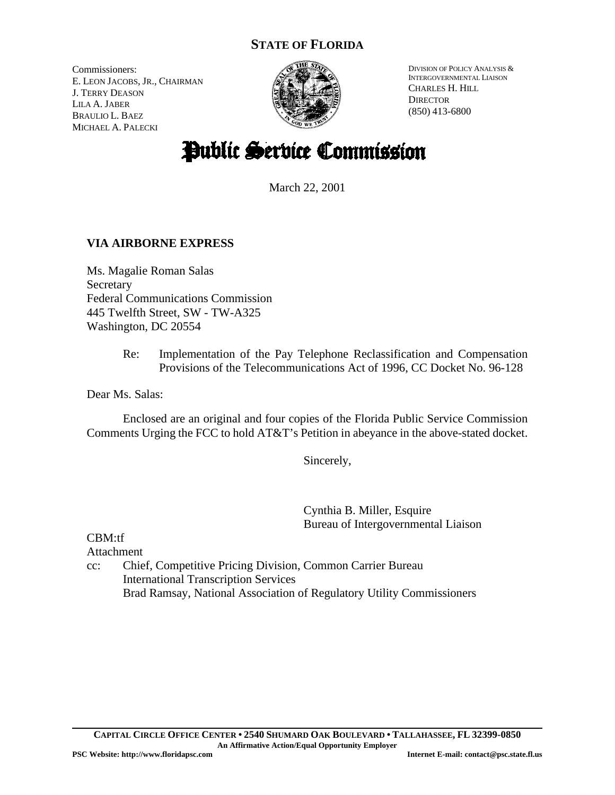# **STATE OF FLORIDA**

Commissioners: E. LEON JACOBS, JR., CHAIRMAN J. TERRY DEASON LILA A. JABER BRAULIO L. BAEZ MICHAEL A. PALECKI



DIVISION OF POLICY ANALYSIS & INTERGOVERNMENTAL LIAISON CHARLES H. HILL **DIRECTOR** (850) 413-6800

# Public Service Commission

March 22, 2001

# **VIA AIRBORNE EXPRESS**

Ms. Magalie Roman Salas Secretary Federal Communications Commission 445 Twelfth Street, SW - TW-A325 Washington, DC 20554

> Re: Implementation of the Pay Telephone Reclassification and Compensation Provisions of the Telecommunications Act of 1996, CC Docket No. 96-128

Dear Ms. Salas:

Enclosed are an original and four copies of the Florida Public Service Commission Comments Urging the FCC to hold AT&T's Petition in abeyance in the above-stated docket.

Sincerely,

Cynthia B. Miller, Esquire Bureau of Intergovernmental Liaison

CBM:tf Attachment

cc: Chief, Competitive Pricing Division, Common Carrier Bureau International Transcription Services Brad Ramsay, National Association of Regulatory Utility Commissioners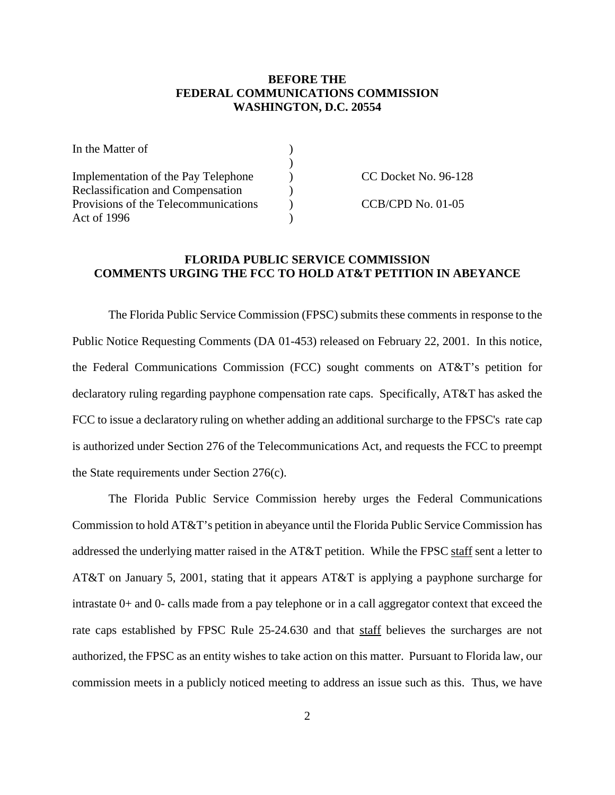#### **BEFORE THE FEDERAL COMMUNICATIONS COMMISSION WASHINGTON, D.C. 20554**

| In the Matter of                     |                      |
|--------------------------------------|----------------------|
|                                      |                      |
| Implementation of the Pay Telephone  | CC Docket No. 96-128 |
| Reclassification and Compensation    |                      |
| Provisions of the Telecommunications | $CCB/CPD$ No. 01-05  |
| Act of 1996                          |                      |

#### **FLORIDA PUBLIC SERVICE COMMISSION COMMENTS URGING THE FCC TO HOLD AT&T PETITION IN ABEYANCE**

The Florida Public Service Commission (FPSC) submits these comments in response to the Public Notice Requesting Comments (DA 01-453) released on February 22, 2001. In this notice, the Federal Communications Commission (FCC) sought comments on AT&T's petition for declaratory ruling regarding payphone compensation rate caps. Specifically, AT&T has asked the FCC to issue a declaratory ruling on whether adding an additional surcharge to the FPSC's rate cap is authorized under Section 276 of the Telecommunications Act, and requests the FCC to preempt the State requirements under Section 276(c).

The Florida Public Service Commission hereby urges the Federal Communications Commission to hold AT&T's petition in abeyance until the Florida Public Service Commission has addressed the underlying matter raised in the AT&T petition. While the FPSC staff sent a letter to AT&T on January 5, 2001, stating that it appears AT&T is applying a payphone surcharge for intrastate 0+ and 0- calls made from a pay telephone or in a call aggregator context that exceed the rate caps established by FPSC Rule 25-24.630 and that staff believes the surcharges are not authorized, the FPSC as an entity wishes to take action on this matter. Pursuant to Florida law, our commission meets in a publicly noticed meeting to address an issue such as this. Thus, we have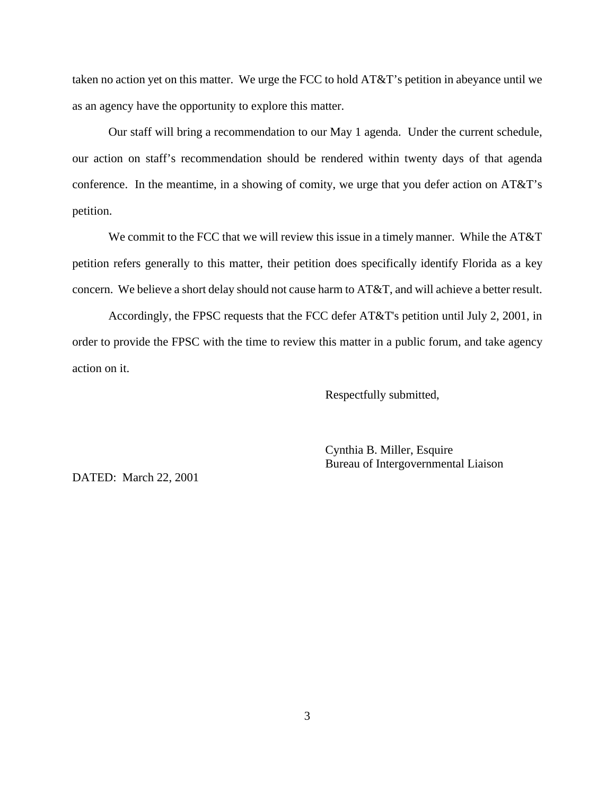taken no action yet on this matter. We urge the FCC to hold AT&T's petition in abeyance until we as an agency have the opportunity to explore this matter.

Our staff will bring a recommendation to our May 1 agenda. Under the current schedule, our action on staff's recommendation should be rendered within twenty days of that agenda conference. In the meantime, in a showing of comity, we urge that you defer action on AT&T's petition.

We commit to the FCC that we will review this issue in a timely manner. While the AT&T petition refers generally to this matter, their petition does specifically identify Florida as a key concern. We believe a short delay should not cause harm to AT&T, and will achieve a better result.

Accordingly, the FPSC requests that the FCC defer AT&T's petition until July 2, 2001, in order to provide the FPSC with the time to review this matter in a public forum, and take agency action on it.

Respectfully submitted,

Cynthia B. Miller, Esquire Bureau of Intergovernmental Liaison

DATED: March 22, 2001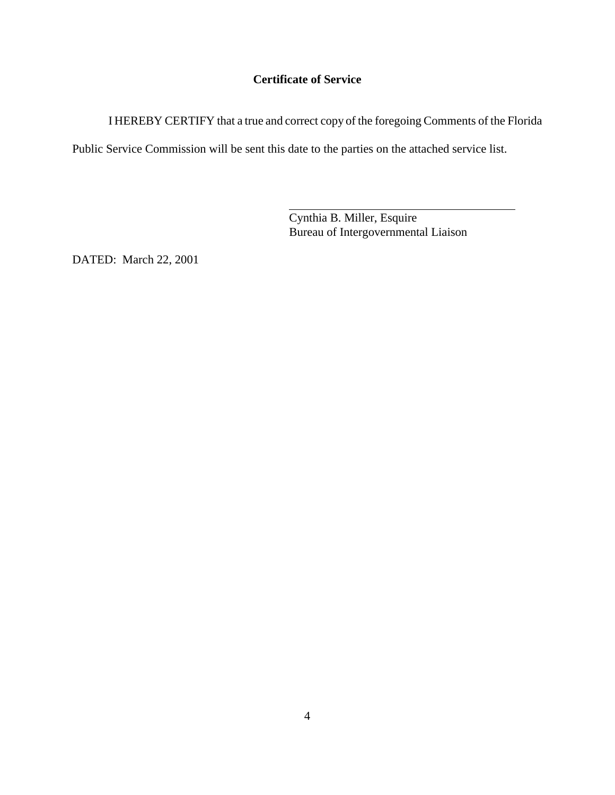# **Certificate of Service**

I HEREBY CERTIFY that a true and correct copy of the foregoing Comments of the Florida

Public Service Commission will be sent this date to the parties on the attached service list.

 $\overline{a}$ 

Cynthia B. Miller, Esquire Bureau of Intergovernmental Liaison

DATED: March 22, 2001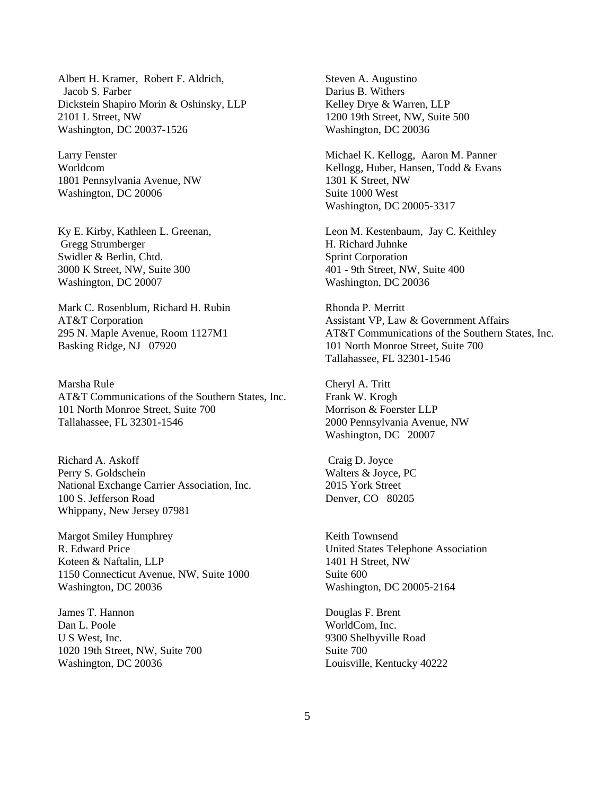Albert H. Kramer, Robert F. Aldrich, Jacob S. Farber Dickstein Shapiro Morin & Oshinsky, LLP 2101 L Street, NW Washington, DC 20037-1526

Larry Fenster Worldcom 1801 Pennsylvania Avenue, NW Washington, DC 20006

Ky E. Kirby, Kathleen L. Greenan, Gregg Strumberger Swidler & Berlin, Chtd. 3000 K Street, NW, Suite 300 Washington, DC 20007

Mark C. Rosenblum, Richard H. Rubin AT&T Corporation 295 N. Maple Avenue, Room 1127M1 Basking Ridge, NJ 07920

Marsha Rule AT&T Communications of the Southern States, Inc. 101 North Monroe Street, Suite 700 Tallahassee, FL 32301-1546

Richard A. Askoff Perry S. Goldschein National Exchange Carrier Association, Inc. 100 S. Jefferson Road Whippany, New Jersey 07981

Margot Smiley Humphrey R. Edward Price Koteen & Naftalin, LLP 1150 Connecticut Avenue, NW, Suite 1000 Washington, DC 20036

James T. Hannon Dan L. Poole U S West, Inc. 1020 19th Street, NW, Suite 700 Washington, DC 20036

Steven A. Augustino Darius B. Withers Kelley Drye & Warren, LLP 1200 19th Street, NW, Suite 500 Washington, DC 20036

Michael K. Kellogg, Aaron M. Panner Kellogg, Huber, Hansen, Todd & Evans 1301 K Street, NW Suite 1000 West Washington, DC 20005-3317

Leon M. Kestenbaum, Jay C. Keithley H. Richard Juhnke Sprint Corporation 401 - 9th Street, NW, Suite 400 Washington, DC 20036

Rhonda P. Merritt Assistant VP, Law & Government Affairs AT&T Communications of the Southern States, Inc. 101 North Monroe Street, Suite 700 Tallahassee, FL 32301-1546

Cheryl A. Tritt Frank W. Krogh Morrison & Foerster LLP 2000 Pennsylvania Avenue, NW Washington, DC 20007

 Craig D. Joyce Walters & Joyce, PC 2015 York Street Denver, CO 80205

Keith Townsend United States Telephone Association 1401 H Street, NW Suite 600 Washington, DC 20005-2164

Douglas F. Brent WorldCom, Inc. 9300 Shelbyville Road Suite 700 Louisville, Kentucky 40222